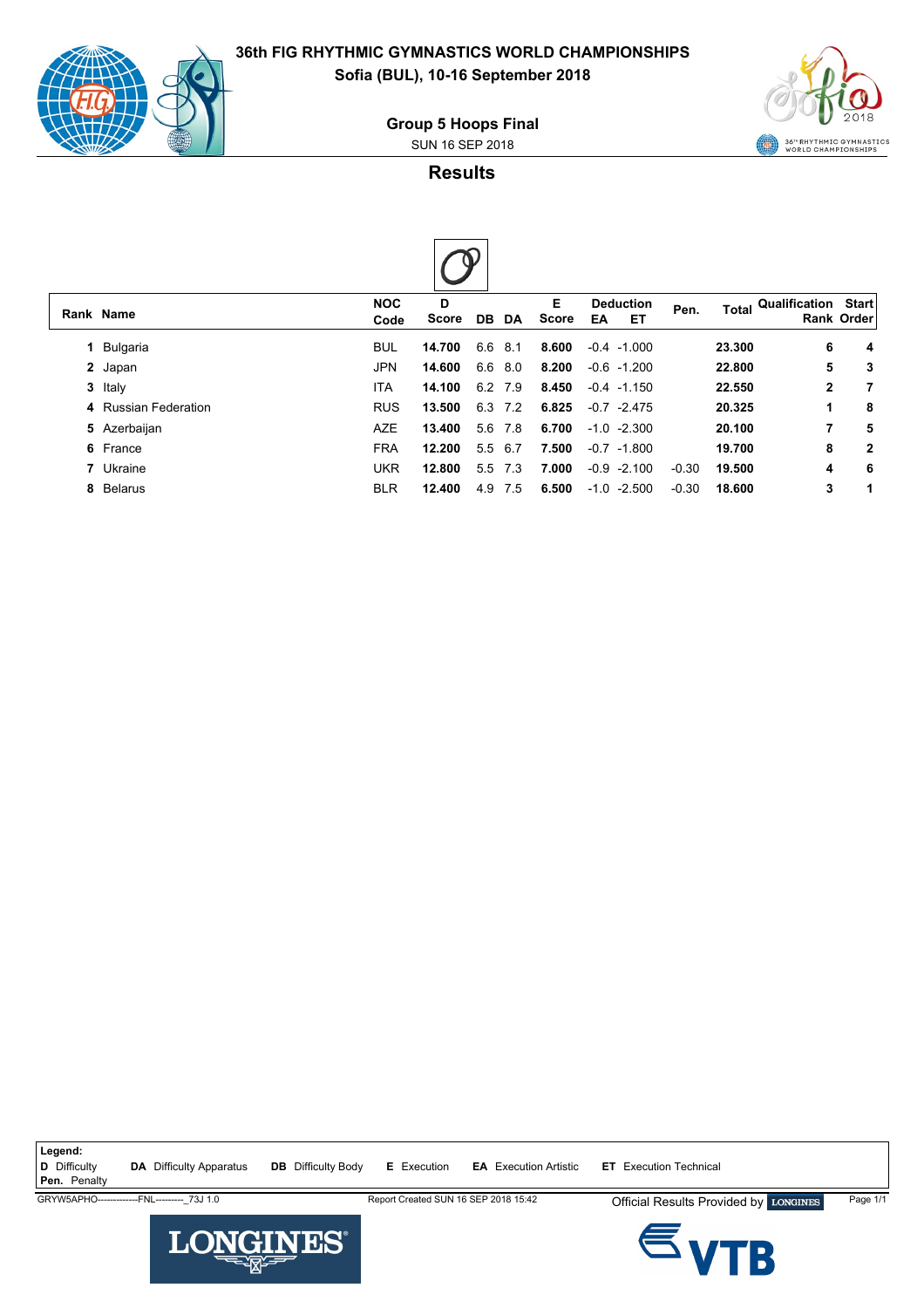

**36th FIG RHYTHMIC GYMNASTICS WORLD CHAMPIONSHIPS Sofia (BUL), 10-16 September 2018**

**Group 5 Hoops Final**

SUN 16 SEP 2018



**Results**



|  | Rank Name            | <b>NOC</b><br>Code | D<br><b>Score</b> | DB DA   |         | Е<br>Score | <b>Deduction</b><br>ET<br>EA | Pen.    |        | Total Qualification Start | <b>Rank Order</b> |
|--|----------------------|--------------------|-------------------|---------|---------|------------|------------------------------|---------|--------|---------------------------|-------------------|
|  | 1 Bulgaria           | <b>BUL</b>         | 14.700            | 6.6 8.1 |         | 8.600      | $-0.4 -1.000$                |         | 23.300 | 6                         | 4                 |
|  | 2 Japan              | JPN                | 14.600            | 6.6 8.0 |         | 8.200      | $-0.6 - 1.200$               |         | 22.800 | 5                         | 3                 |
|  | 3 Italy              | <b>ITA</b>         | 14.100            | 6.2 7.9 |         | 8.450      | $-0.4$ $-1.150$              |         | 22.550 | $\mathbf{2}$              | 7                 |
|  | 4 Russian Federation | <b>RUS</b>         | 13.500            | 6.3 7.2 |         | 6.825      | $-0.7 -2.475$                |         | 20.325 | 1                         | 8                 |
|  | 5 Azerbaijan         | <b>AZE</b>         | 13.400            |         | 5.6 7.8 | 6.700      | $-1.0 -2.300$                |         | 20.100 | 7                         | 5                 |
|  | 6 France             | <b>FRA</b>         | 12.200            | 5.5 6.7 |         | 7.500      | $-0.7 -1.800$                |         | 19.700 | 8                         | 2                 |
|  | 7 Ukraine            | <b>UKR</b>         | 12.800            | 5.5 7.3 |         | 7.000      | $-0.9 -2.100$                | $-0.30$ | 19.500 | 4                         | 6                 |
|  | 8 Belarus            | <b>BLR</b>         | 12.400            | 4.9     | 7.5     | 6.500      | $-1.0 -2.500$                | $-0.30$ | 18.600 | 3                         | 1                 |